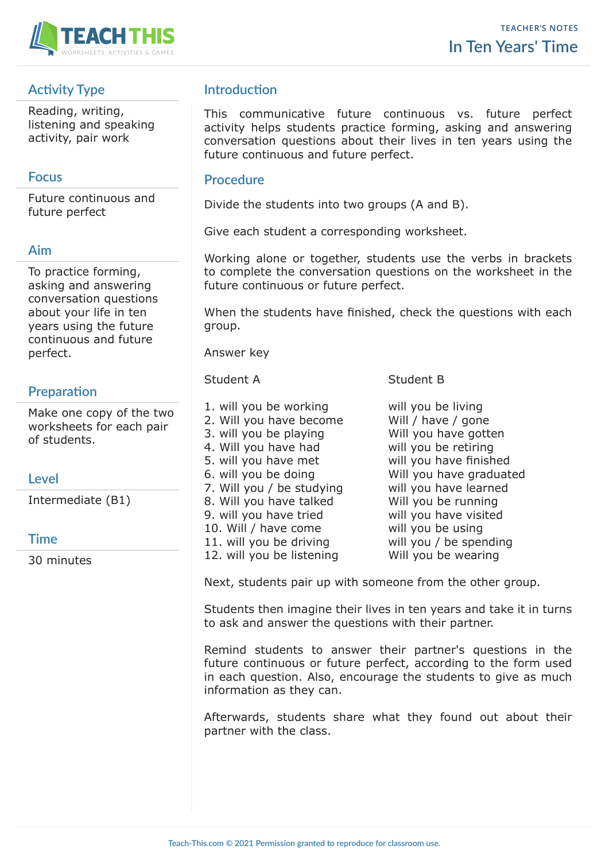

# **Activity Type**

Reading, writing, listening and speaking activity, pair work

## **Focus**

Future continuous and future perfect

### **Aim**

To practice forming, asking and answering conversation questions about your life in ten years using the future continuous and future perfect.

# **Preparation**

Make one copy of the two worksheets for each pair of students.

## **Level**

Intermediate (B1)

### **Time**

30 minutes

# **Introduction**

This communicative future continuous vs. future perfect activity helps students practice forming, asking and answering conversation questions about their lives in ten years using the future continuous and future perfect.

### **Procedure**

Divide the students into two groups (A and B).

Give each student a corresponding worksheet.

Working alone or together, students use the verbs in brackets to complete the conversation questions on the worksheet in the future continuous or future perfect.

When the students have finished, check the questions with each group.

Answer key

- 1. will you be working will you be living 2. Will you have become Will / have / gone 3. will you be playing Will you have gotten 4. Will you have had will you be retiring 5. will you have met will you have finished 6. will you be doing Will you have graduated 7. Will you / be studying will you have learned 8. Will you have talked Will you be running 9. will you have tried will you have visited 10. Will / have come will you be using 11. will you be driving will you / be spending
- Student A Student B

12. will you be listening Will you be wearing

Next, students pair up with someone from the other group.

Students then imagine their lives in ten years and take it in turns to ask and answer the questions with their partner.

Remind students to answer their partner's questions in the future continuous or future perfect, according to the form used in each question. Also, encourage the students to give as much information as they can.

Afterwards, students share what they found out about their partner with the class.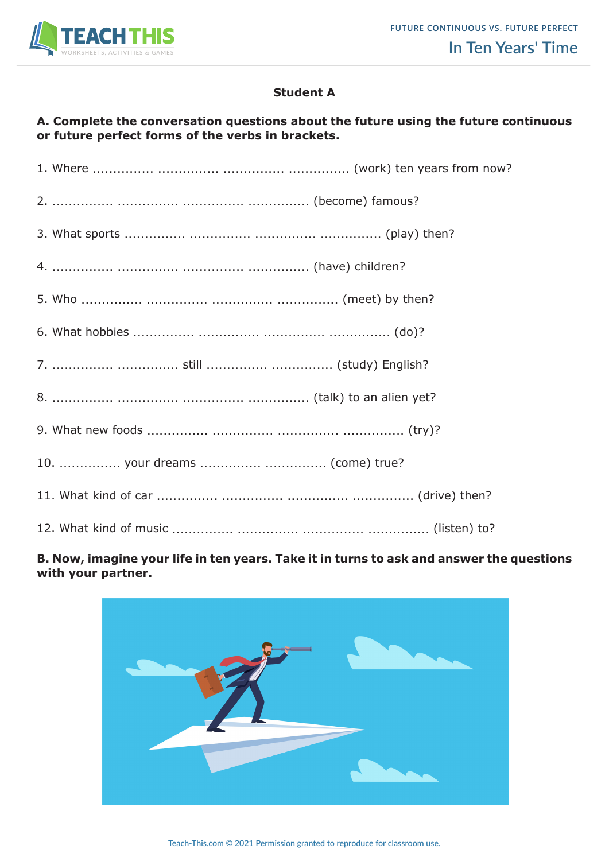

### **Student A**

### **A. Complete the conversation questions about the future using the future continuous or future perfect forms of the verbs in brackets.**

| 7.   still   (study) English?   |  |
|---------------------------------|--|
|                                 |  |
|                                 |  |
| 10.  your dreams   (come) true? |  |
|                                 |  |
|                                 |  |

### **B. Now, imagine your life in ten years. Take it in turns to ask and answer the questions with your partner.**